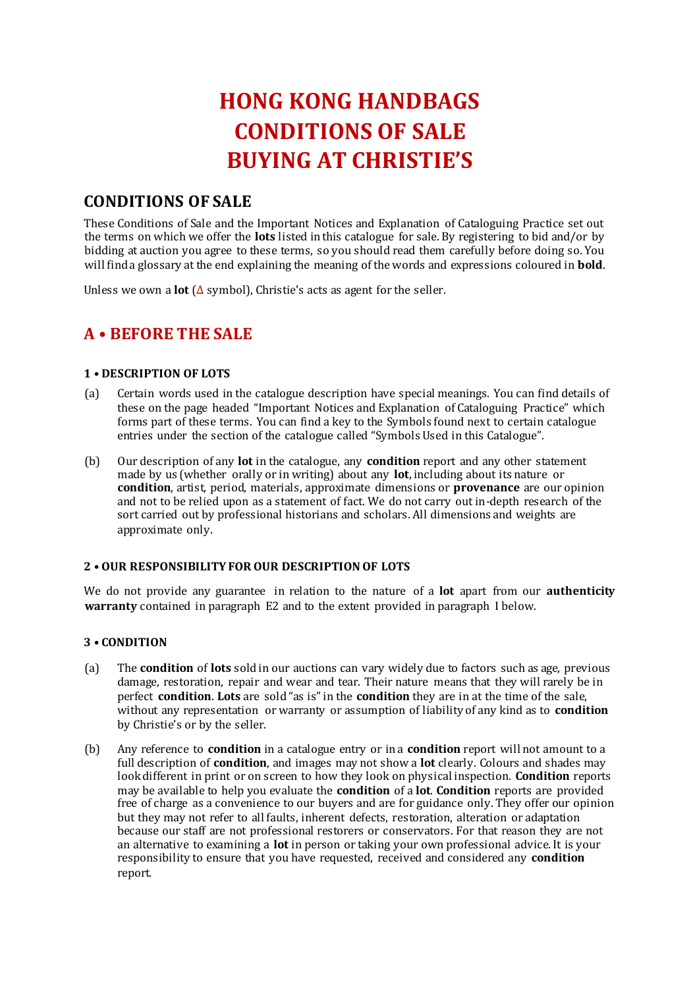# **HONG KONG HANDBAGS CONDITIONS OF SALE BUYING AT CHRISTIE'S**

# **CONDITIONS OF SALE**

These Conditions of Sale and the Important Notices and Explanation of Cataloguing Practice set out the terms on which we offer the **lots** listed in this catalogue for sale. By registering to bid and/or by bidding at auction you agree to these terms, so you should read them carefully before doing so. You will find a glossary at the end explaining the meaning of the words and expressions coloured in **bold**.

Unless we own a **lot** (∆ symbol), Christie's acts as agent for the seller.

# **A • BEFORE THE SALE**

### **1 • DESCRIPTION OF LOTS**

- (a) Certain words used in the catalogue description have special meanings. You can find details of these on the page headed "Important Notices and Explanation of Cataloguing Practice" which forms part of these terms. You can find a key to the Symbols found next to certain catalogue entries under the section of the catalogue called "Symbols Used in this Catalogue".
- (b) Our description of any **lot** in the catalogue, any **condition** report and any other statement made by us (whether orally or in writing) about any **lot**, including about its nature or **condition**, artist, period, materials, approximate dimensions or **provenance** are our opinion and not to be relied upon as a statement of fact. We do not carry out in-depth research of the sort carried out by professional historians and scholars. All dimensions and weights are approximate only.

### **2 • OUR RESPONSIBILITY FOR OUR DESCRIPTION OF LOTS**

We do not provide any guarantee in relation to the nature of a **lot** apart from our **authenticity warranty** contained in paragraph E2 and to the extent provided in paragraph I below.

### **3 • CONDITION**

- (a) The **condition** of **lots** sold in our auctions can vary widely due to factors such as age, previous damage, restoration, repair and wear and tear. Their nature means that they will rarely be in perfect **condition**. **Lots** are sold "as is" in the **condition** they are in at the time of the sale, without any representation or warranty or assumption of liability of any kind as to **condition** by Christie's or by the seller.
- (b) Any reference to **condition** in a catalogue entry or in a **condition** report will not amount to a full description of **condition**, and images may not show a **lot** clearly. Colours and shades may look different in print or on screen to how they look on physical inspection. **Condition** reports may be available to help you evaluate the **condition** of a **lot**. **Condition** reports are provided free of charge as a convenience to our buyers and are for guidance only. They offer our opinion but they may not refer to all faults, inherent defects, restoration, alteration or adaptation because our staff are not professional restorers or conservators. For that reason they are not an alternative to examining a **lot** in person or taking your own professional advice. It is your responsibility to ensure that you have requested, received and considered any **condition**  report.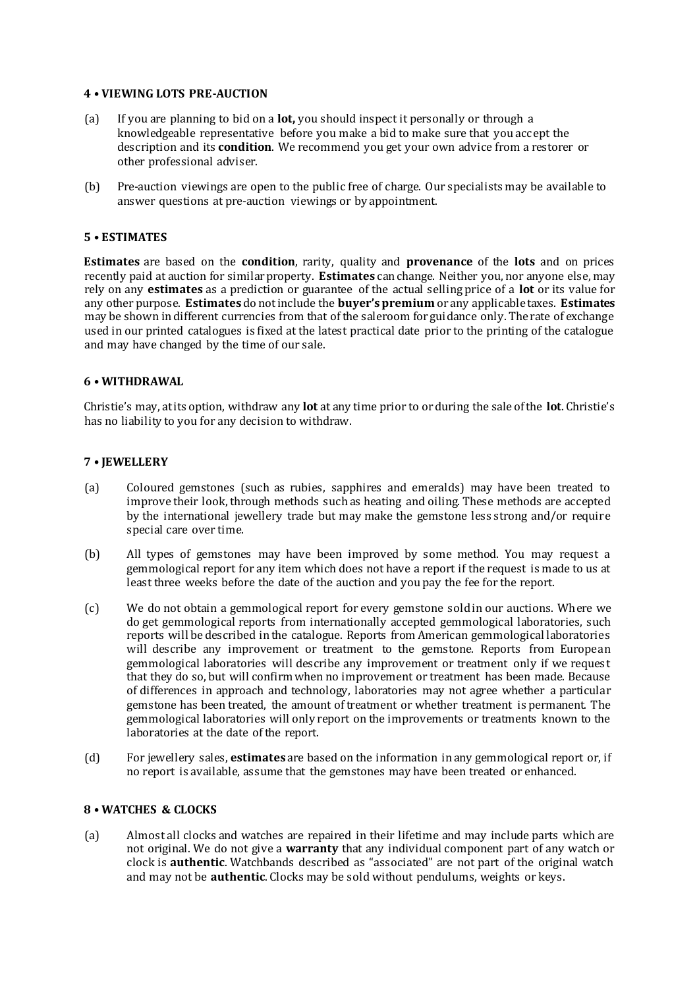### **4 • VIEWING LOTS PRE-AUCTION**

- (a) If you are planning to bid on a **lot,** you should inspect it personally or through a knowledgeable representative before you make a bid to make sure that you accept the description and its **condition**. We recommend you get your own advice from a restorer or other professional adviser.
- (b) Pre-auction viewings are open to the public free of charge. Our specialists may be available to answer questions at pre-auction viewings or by appointment.

### **5 • ESTIMATES**

**Estimates** are based on the **condition**, rarity, quality and **provenance** of the **lots** and on prices recently paid at auction for similar property. **Estimates** can change. Neither you, nor anyone else, may rely on any **estimates** as a prediction or guarantee of the actual selling price of a **lot** or its value for any other purpose. **Estimates** do not include the **buyer's premium** or any applicable taxes. **Estimates** may be shown in different currencies from that of the saleroom for guidance only. The rate of exchange used in our printed catalogues is fixed at the latest practical date prior to the printing of the catalogue and may have changed by the time of our sale.

### **6 • WITHDRAWAL**

Christie's may, at its option, withdraw any **lot** at any time prior to or during the sale of the **lot**. Christie's has no liability to you for any decision to withdraw.

### **7 • JEWELLERY**

- (a) Coloured gemstones (such as rubies, sapphires and emeralds) may have been treated to improve their look, through methods such as heating and oiling. These methods are accepted by the international jewellery trade but may make the gemstone less strong and/or require special care over time.
- (b) All types of gemstones may have been improved by some method. You may request a gemmological report for any item which does not have a report if the request is made to us at least three weeks before the date of the auction and you pay the fee for the report.
- (c) We do not obtain a gemmological report for every gemstone sold in our auctions. Where we do get gemmological reports from internationally accepted gemmological laboratories, such reports will be described in the catalogue. Reports from American gemmological laboratories will describe any improvement or treatment to the gemstone. Reports from European gemmological laboratories will describe any improvement or treatment only if we request that they do so, but will confirm when no improvement or treatment has been made. Because of differences in approach and technology, laboratories may not agree whether a particular gemstone has been treated, the amount of treatment or whether treatment is permanent. The gemmological laboratories will only report on the improvements or treatments known to the laboratories at the date of the report.
- (d) For jewellery sales, **estimates** are based on the information in any gemmological report or, if no report is available, assume that the gemstones may have been treated or enhanced.

### **8 • WATCHES & CLOCKS**

(a) Almost all clocks and watches are repaired in their lifetime and may include parts which are not original. We do not give a **warranty** that any individual component part of any watch or clock is **authentic**. Watchbands described as "associated" are not part of the original watch and may not be **authentic**. Clocks may be sold without pendulums, weights or keys.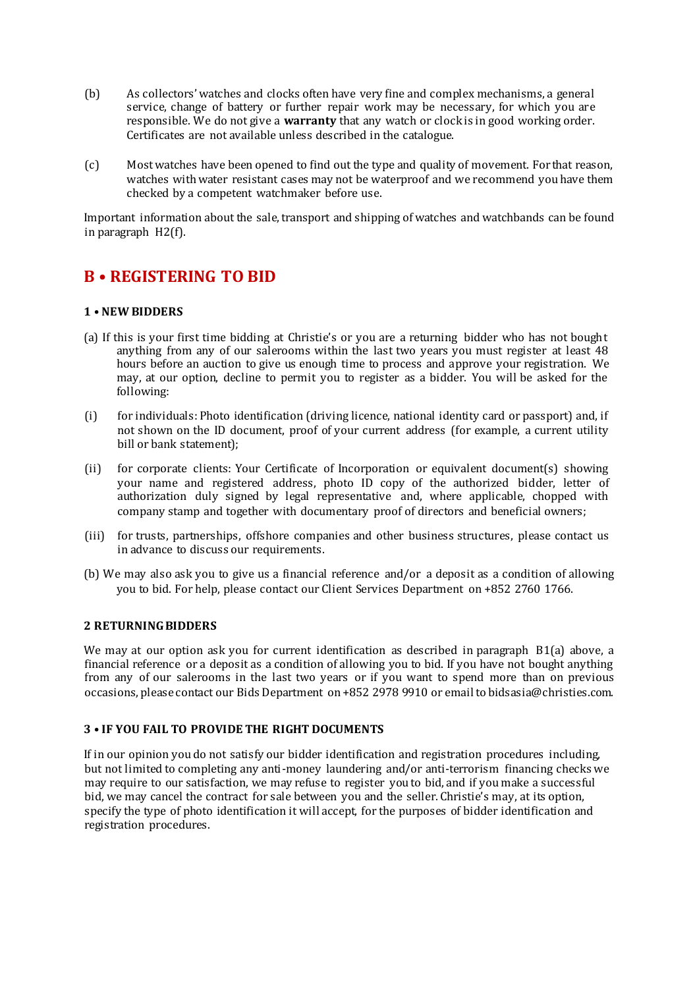- (b) As collectors' watches and clocks often have very fine and complex mechanisms, a general service, change of battery or further repair work may be necessary, for which you are responsible. We do not give a **warranty** that any watch or clock is in good working order. Certificates are not available unless described in the catalogue.
- (c) Most watches have been opened to find out the type and quality of movement. For that reason, watches with water resistant cases may not be waterproof and we recommend you have them checked by a competent watchmaker before use.

Important information about the sale, transport and shipping of watches and watchbands can be found in paragraph H2(f).

## **B • REGISTERING TO BID**

### **1 • NEW BIDDERS**

- (a) If this is your first time bidding at Christie's or you are a returning bidder who has not bought anything from any of our salerooms within the last two years you must register at least 48 hours before an auction to give us enough time to process and approve your registration. We may, at our option, decline to permit you to register as a bidder. You will be asked for the following:
- (i) for individuals: Photo identification (driving licence, national identity card or passport) and, if not shown on the ID document, proof of your current address (for example, a current utility bill or bank statement);
- (ii) for corporate clients: Your Certificate of Incorporation or equivalent document(s) showing your name and registered address, photo ID copy of the authorized bidder, letter of authorization duly signed by legal representative and, where applicable, chopped with company stamp and together with documentary proof of directors and beneficial owners;
- (iii) for trusts, partnerships, offshore companies and other business structures, please contact us in advance to discuss our requirements.
- (b) We may also ask you to give us a financial reference and/or a deposit as a condition of allowing you to bid. For help, please contact our Client Services Department on +852 2760 1766.

### **2 RETURNING BIDDERS**

We may at our option ask you for current identification as described in paragraph B1(a) above, a financial reference or a deposit as a condition of allowing you to bid. If you have not bought anything from any of our salerooms in the last two years or if you want to spend more than on previous occasions, please contact our Bids Department on +852 2978 9910 or email to bidsasia@christies.com.

### **3 • IF YOU FAIL TO PROVIDE THE RIGHT DOCUMENTS**

If in our opinion you do not satisfy our bidder identification and registration procedures including, but not limited to completing any anti-money laundering and/or anti-terrorism financing checks we may require to our satisfaction, we may refuse to register you to bid, and if you make a successful bid, we may cancel the contract for sale between you and the seller. Christie's may, at its option, specify the type of photo identification it will accept, for the purposes of bidder identification and registration procedures.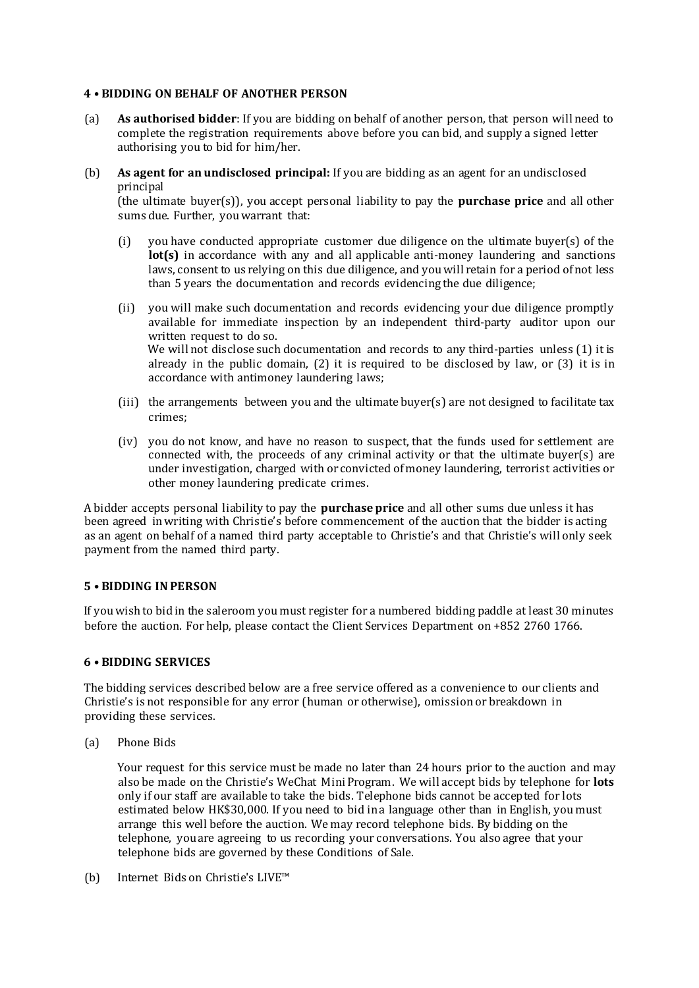### **4 • BIDDING ON BEHALF OF ANOTHER PERSON**

- (a) **As authorised bidder**: If you are bidding on behalf of another person, that person will need to complete the registration requirements above before you can bid, and supply a signed letter authorising you to bid for him/her.
- (b) **As agent for an undisclosed principal:** If you are bidding as an agent for an undisclosed principal

(the ultimate buyer(s)), you accept personal liability to pay the **purchase price** and all other sums due. Further, you warrant that:

- (i) you have conducted appropriate customer due diligence on the ultimate buyer(s) of the **lot(s)** in accordance with any and all applicable anti-money laundering and sanctions laws, consent to us relying on this due diligence, and you will retain for a period of not less than 5 years the documentation and records evidencing the due diligence;
- (ii) you will make such documentation and records evidencing your due diligence promptly available for immediate inspection by an independent third-party auditor upon our written request to do so. We will not disclose such documentation and records to any third-parties unless (1) it is already in the public domain,  $(2)$  it is required to be disclosed by law, or  $(3)$  it is in accordance with antimoney laundering laws;
- (iii) the arrangements between you and the ultimate buyer(s) are not designed to facilitate tax crimes;
- (iv) you do not know, and have no reason to suspect, that the funds used for settlement are connected with, the proceeds of any criminal activity or that the ultimate buyer(s) are under investigation, charged with or convicted of money laundering, terrorist activities or other money laundering predicate crimes.

A bidder accepts personal liability to pay the **purchase price** and all other sums due unless it has been agreed in writing with Christie's before commencement of the auction that the bidder is acting as an agent on behalf of a named third party acceptable to Christie's and that Christie's will only seek payment from the named third party.

### **5 • BIDDING IN PERSON**

If you wish to bid in the saleroom you must register for a numbered bidding paddle at least 30 minutes before the auction. For help, please contact the Client Services Department on +852 2760 1766.

### **6 • BIDDING SERVICES**

The bidding services described below are a free service offered as a convenience to our clients and Christie's is not responsible for any error (human or otherwise), omission or breakdown in providing these services.

(a) Phone Bids

Your request for this service must be made no later than 24 hours prior to the auction and may also be made on the Christie's WeChat Mini Program. We will accept bids by telephone for **lots** only if our staff are available to take the bids. Telephone bids cannot be accepted for lots estimated below HK\$30,000. If you need to bid in a language other than in English, you must arrange this well before the auction. We may record telephone bids. By bidding on the telephone, you are agreeing to us recording your conversations. You also agree that your telephone bids are governed by these Conditions of Sale.

(b) Internet Bids on Christie's LIVE™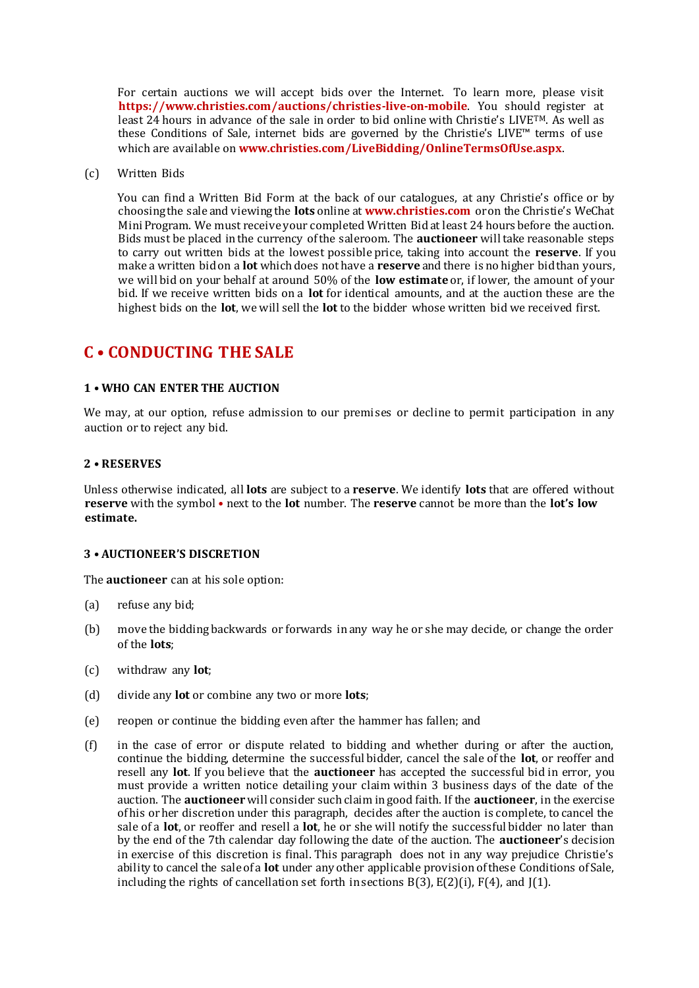For certain auctions we will accept bids over the Internet. To learn more, please visit **https://www.christies.com/auctions/christies-live-on-mobile**. You should register at least 24 hours in advance of the sale in order to bid online with Christie's LIVETM. As well as these Conditions of Sale, internet bids are governed by the Christie's LIVE™ terms of use which are available on **www.christies.com/LiveBidding/OnlineTermsOfUse.aspx**.

(c) Written Bids

You can find a Written Bid Form at the back of our catalogues, at any Christie's office or by choosing the sale and viewing the **lots** online at **www.christies.com** oron the Christie's WeChat Mini Program. We must receive your completed Written Bid at least 24 hours before the auction. Bids must be placed in the currency of the saleroom. The **auctioneer** will take reasonable steps to carry out written bids at the lowest possible price, taking into account the **reserve**. If you make a written bid on a **lot** which does not have a **reserve** and there is no higher bid than yours, we will bid on your behalf at around 50% of the **low estimate** or, if lower, the amount of your bid. If we receive written bids on a **lot** for identical amounts, and at the auction these are the highest bids on the **lot**, we will sell the **lot** to the bidder whose written bid we received first.

### **C • CONDUCTING THE SALE**

### **1 • WHO CAN ENTER THE AUCTION**

We may, at our option, refuse admission to our premises or decline to permit participation in any auction or to reject any bid.

### **2 • RESERVES**

Unless otherwise indicated, all **lots** are subject to a **reserve**. We identify **lots** that are offered without **reserve** with the symbol • next to the **lot** number. The **reserve** cannot be more than the **lot's low estimate.**

### **3 • AUCTIONEER'S DISCRETION**

The **auctioneer** can at his sole option:

- (a) refuse any bid;
- (b) move the bidding backwards or forwards in any way he or she may decide, or change the order of the **lots**;
- (c) withdraw any **lot**;
- (d) divide any **lot** or combine any two or more **lots**;
- (e) reopen or continue the bidding even after the hammer has fallen; and
- (f) in the case of error or dispute related to bidding and whether during or after the auction, continue the bidding, determine the successful bidder, cancel the sale of the **lot**, or reoffer and resell any **lot**. If you believe that the **auctioneer** has accepted the successful bid in error, you must provide a written notice detailing your claim within 3 business days of the date of the auction. The **auctioneer** will consider such claim in good faith. If the **auctioneer**, in the exercise of his or her discretion under this paragraph, decides after the auction is complete, to cancel the sale of a **lot**, or reoffer and resell a **lot**, he or she will notify the successful bidder no later than by the end of the 7th calendar day following the date of the auction. The **auctioneer**'s decision in exercise of this discretion is final. This paragraph does not in any way prejudice Christie's ability to cancel the sale of a **lot** under any other applicable provision of these Conditions of Sale, including the rights of cancellation set forth in sections B(3), E(2)(i), F(4), and J(1).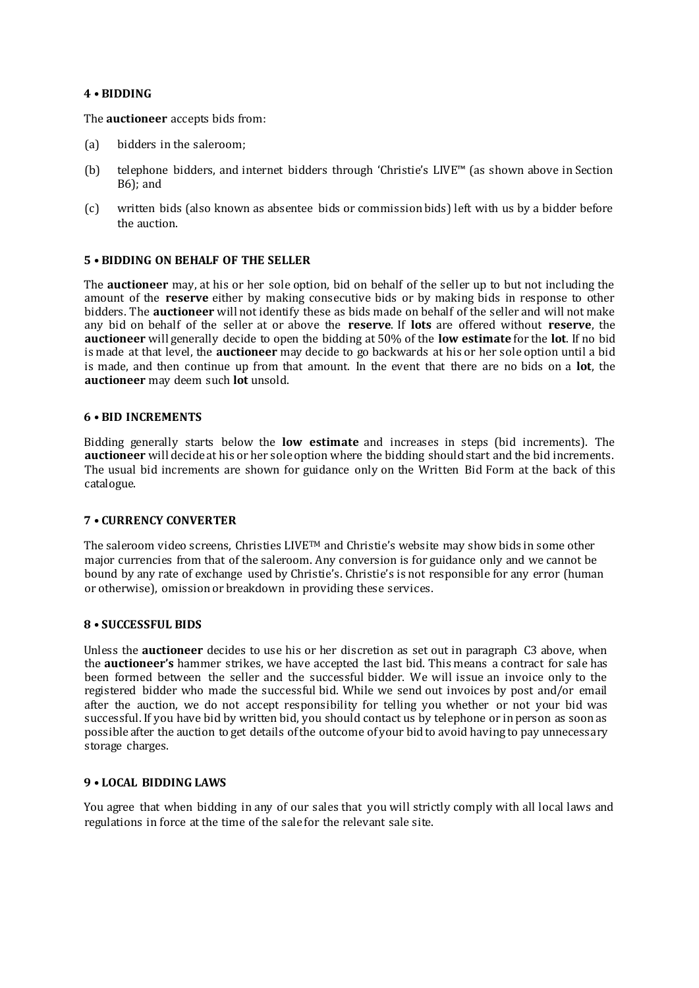### **4 • BIDDING**

The **auctioneer** accepts bids from:

- (a) bidders in the saleroom;
- (b) telephone bidders, and internet bidders through 'Christie's LIVE™ (as shown above in Section B6); and
- (c) written bids (also known as absentee bids or commission bids) left with us by a bidder before the auction.

#### **5 • BIDDING ON BEHALF OF THE SELLER**

The **auctioneer** may, at his or her sole option, bid on behalf of the seller up to but not including the amount of the **reserve** either by making consecutive bids or by making bids in response to other bidders. The **auctioneer** will not identify these as bids made on behalf of the seller and will not make any bid on behalf of the seller at or above the **reserve**. If **lots** are offered without **reserve**, the **auctioneer** will generally decide to open the bidding at 50% of the **low estimate** for the **lot**. If no bid is made at that level, the **auctioneer** may decide to go backwards at his or her sole option until a bid is made, and then continue up from that amount. In the event that there are no bids on a **lot**, the **auctioneer** may deem such **lot** unsold.

### **6 • BID INCREMENTS**

Bidding generally starts below the **low estimate** and increases in steps (bid increments). The **auctioneer** will decide at his or her sole option where the bidding should start and the bid increments. The usual bid increments are shown for guidance only on the Written Bid Form at the back of this catalogue.

### **7 • CURRENCY CONVERTER**

The saleroom video screens, Christies LIVETM and Christie's website may show bids in some other major currencies from that of the saleroom. Any conversion is for guidance only and we cannot be bound by any rate of exchange used by Christie's. Christie's is not responsible for any error (human or otherwise), omission or breakdown in providing these services.

### **8 • SUCCESSFUL BIDS**

Unless the **auctioneer** decides to use his or her discretion as set out in paragraph C3 above, when the **auctioneer's** hammer strikes, we have accepted the last bid. This means a contract for sale has been formed between the seller and the successful bidder. We will issue an invoice only to the registered bidder who made the successful bid. While we send out invoices by post and/or email after the auction, we do not accept responsibility for telling you whether or not your bid was successful. If you have bid by written bid, you should contact us by telephone or in person as soon as possible after the auction to get details of the outcome of your bid to avoid having to pay unnecessary storage charges.

### **9 • LOCAL BIDDING LAWS**

You agree that when bidding in any of our sales that you will strictly comply with all local laws and regulations in force at the time of the sale for the relevant sale site.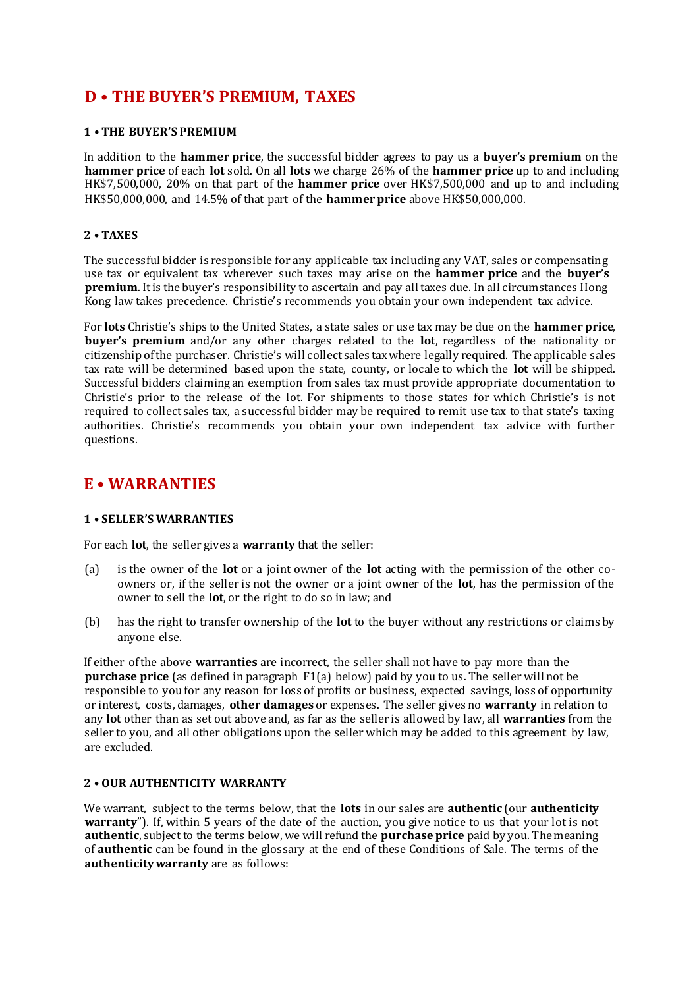# **D • THE BUYER'S PREMIUM, TAXES**

### **1 • THE BUYER'S PREMIUM**

In addition to the **hammer price**, the successful bidder agrees to pay us a **buyer's premium** on the **hammer price** of each **lot** sold. On all **lots** we charge 26% of the **hammer price** up to and including HK\$7,500,000, 20% on that part of the **hammer price** over HK\$7,500,000 and up to and including HK\$50,000,000, and 14.5% of that part of the **hammer price** above HK\$50,000,000.

### **2 • TAXES**

The successful bidder is responsible for any applicable tax including any VAT, sales or compensating use tax or equivalent tax wherever such taxes may arise on the **hammer price** and the **buyer's premium**. It is the buyer's responsibility to ascertain and pay all taxes due. In all circumstances Hong Kong law takes precedence. Christie's recommends you obtain your own independent tax advice.

For **lots** Christie's ships to the United States, a state sales or use tax may be due on the **hammer price**, **buyer's premium** and/or any other charges related to the **lot**, regardless of the nationality or citizenship of the purchaser. Christie's will collect sales tax where legally required. The applicable sales tax rate will be determined based upon the state, county, or locale to which the **lot** will be shipped. Successful bidders claiming an exemption from sales tax must provide appropriate documentation to Christie's prior to the release of the lot. For shipments to those states for which Christie's is not required to collect sales tax, a successful bidder may be required to remit use tax to that state's taxing authorities. Christie's recommends you obtain your own independent tax advice with further questions.

### **E • WARRANTIES**

### **1 • SELLER'S WARRANTIES**

For each **lot**, the seller gives a **warranty** that the seller:

- (a) is the owner of the **lot** or a joint owner of the **lot** acting with the permission of the other coowners or, if the seller is not the owner or a joint owner of the **lot**, has the permission of the owner to sell the **lot**, or the right to do so in law; and
- (b) has the right to transfer ownership of the **lot** to the buyer without any restrictions or claims by anyone else.

If either of the above **warranties** are incorrect, the seller shall not have to pay more than the **purchase price** (as defined in paragraph F1(a) below) paid by you to us. The seller will not be responsible to you for any reason for loss of profits or business, expected savings, loss of opportunity or interest, costs, damages, **other damages** or expenses. The seller gives no **warranty** in relation to any **lot** other than as set out above and, as far as the seller is allowed by law, all **warranties** from the seller to you, and all other obligations upon the seller which may be added to this agreement by law, are excluded.

### **2 • OUR AUTHENTICITY WARRANTY**

We warrant, subject to the terms below, that the **lots** in our sales are **authentic** (our **authenticity warranty**"). If, within 5 years of the date of the auction, you give notice to us that your lot is not **authentic**, subject to the terms below, we will refund the **purchase price** paid by you. The meaning of **authentic** can be found in the glossary at the end of these Conditions of Sale. The terms of the **authenticity warranty** are as follows: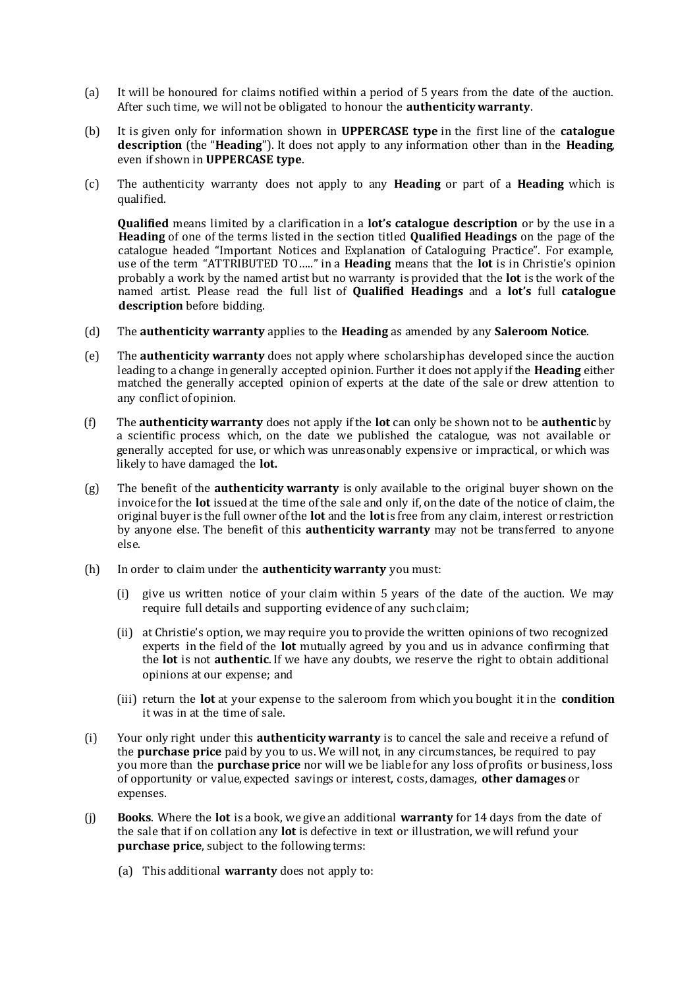- (a) It will be honoured for claims notified within a period of 5 years from the date of the auction. After such time, we will not be obligated to honour the **authenticity warranty**.
- (b) It is given only for information shown in **UPPERCASE type** in the first line of the **catalogue description** (the "**Heading**"). It does not apply to any information other than in the **Heading**, even if shown in **UPPERCASE type**.
- (c) The authenticity warranty does not apply to any **Heading** or part of a **Heading** which is qualified.

**Qualified** means limited by a clarification in a **lot's catalogue description** or by the use in a **Heading** of one of the terms listed in the section titled **Qualified Headings** on the page of the catalogue headed "Important Notices and Explanation of Cataloguing Practice". For example, use of the term "ATTRIBUTED TO….." in a **Heading** means that the **lot** is in Christie's opinion probably a work by the named artist but no warranty is provided that the **lot** is the work of the named artist. Please read the full list of **Qualified Headings** and a **lot's** full **catalogue description** before bidding.

- (d) The **authenticity warranty** applies to the **Heading** as amended by any **Saleroom Notice**.
- (e) The **authenticity warranty** does not apply where scholarship has developed since the auction leading to a change in generally accepted opinion. Further it does not apply if the **Heading** either matched the generally accepted opinion of experts at the date of the sale or drew attention to any conflict of opinion.
- (f) The **authenticity warranty** does not apply if the **lot** can only be shown not to be **authentic** by a scientific process which, on the date we published the catalogue, was not available or generally accepted for use, or which was unreasonably expensive or impractical, or which was likely to have damaged the **lot.**
- (g) The benefit of the **authenticity warranty** is only available to the original buyer shown on the invoice for the **lot** issued at the time of the sale and only if, on the date of the notice of claim, the original buyer is the full owner of the **lot** and the **lot**is free from any claim, interest or restriction by anyone else. The benefit of this **authenticity warranty** may not be transferred to anyone else.
- (h) In order to claim under the **authenticity warranty** you must:
	- (i) give us written notice of your claim within 5 years of the date of the auction. We may require full details and supporting evidence of any such claim;
	- (ii) at Christie's option, we may require you to provide the written opinions of two recognized experts in the field of the **lot** mutually agreed by you and us in advance confirming that the **lot** is not **authentic**. If we have any doubts, we reserve the right to obtain additional opinions at our expense; and
	- (iii) return the **lot** at your expense to the saleroom from which you bought it in the **condition** it was in at the time of sale.
- (i) Your only right under this **authenticity warranty** is to cancel the sale and receive a refund of the **purchase price** paid by you to us. We will not, in any circumstances, be required to pay you more than the **purchase price** nor will we be liable for any loss of profits or business, loss of opportunity or value, expected savings or interest, costs, damages, **other damages** or expenses.
- (j) **Books**. Where the **lot** is a book, we give an additional **warranty** for 14 days from the date of the sale that if on collation any **lot** is defective in text or illustration, we will refund your **purchase price**, subject to the following terms:
	- (a) This additional **warranty** does not apply to: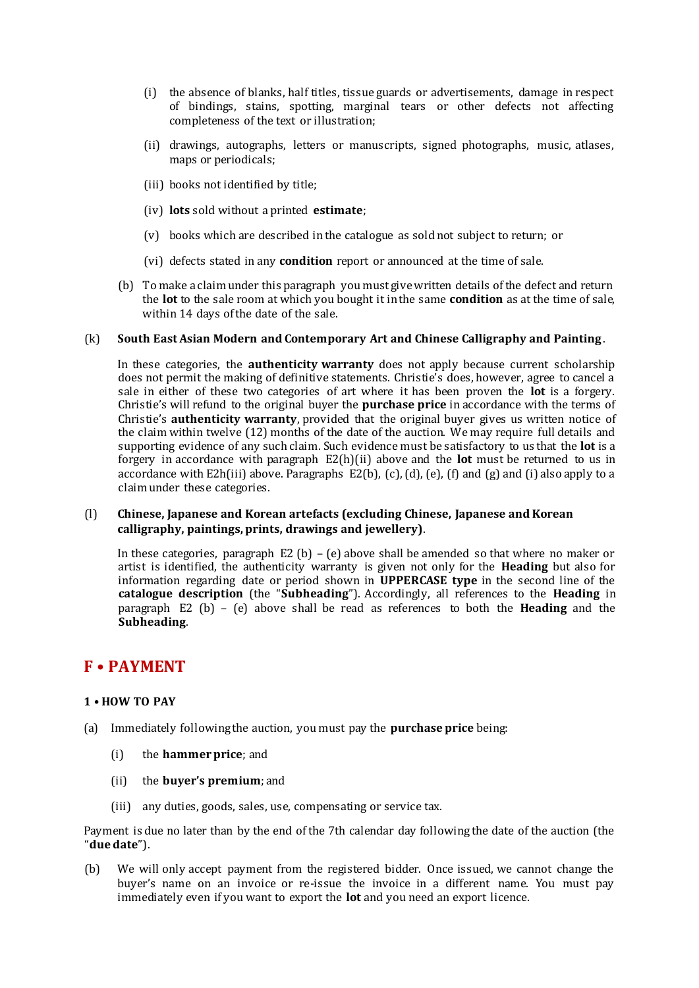- (i) the absence of blanks, half titles, tissue guards or advertisements, damage in respect of bindings, stains, spotting, marginal tears or other defects not affecting completeness of the text or illustration;
- (ii) drawings, autographs, letters or manuscripts, signed photographs, music, atlases, maps or periodicals;
- (iii) books not identified by title;
- (iv) **lots** sold without a printed **estimate**;
- (v) books which are described in the catalogue as sold not subject to return; or
- (vi) defects stated in any **condition** report or announced at the time of sale.
- (b) To make a claim under this paragraph you must give written details of the defect and return the **lot** to the sale room at which you bought it in the same **condition** as at the time of sale, within 14 days of the date of the sale.

### (k) **South East Asian Modern and Contemporary Art and Chinese Calligraphy and Painting** .

In these categories, the **authenticity warranty** does not apply because current scholarship does not permit the making of definitive statements. Christie's does, however, agree to cancel a sale in either of these two categories of art where it has been proven the **lot** is a forgery. Christie's will refund to the original buyer the **purchase price** in accordance with the terms of Christie's **authenticity warranty**, provided that the original buyer gives us written notice of the claim within twelve (12) months of the date of the auction. We may require full details and supporting evidence of any such claim. Such evidence must be satisfactory to us that the **lot** is a forgery in accordance with paragraph E2(h)(ii) above and the **lot** must be returned to us in accordance with E2h(iii) above. Paragraphs E2(b),  $(c)$ ,  $(d)$ ,  $(e)$ ,  $(f)$  and  $(g)$  and  $(i)$  also apply to a claim under these categories.

### (l) **Chinese, Japanese and Korean artefacts (excluding Chinese, Japanese and Korean calligraphy, paintings, prints, drawings and jewellery)**.

In these categories, paragraph E2 (b) – (e) above shall be amended so that where no maker or artist is identified, the authenticity warranty is given not only for the **Heading** but also for information regarding date or period shown in **UPPERCASE type** in the second line of the **catalogue description** (the "**Subheading**"). Accordingly, all references to the **Heading** in paragraph E2 (b) – (e) above shall be read as references to both the **Heading** and the **Subheading**.

### **F • PAYMENT**

### **1 • HOW TO PAY**

- (a) Immediately following the auction, you must pay the **purchase price** being:
	- (i) the **hammer price**; and
	- (ii) the **buyer's premium**; and
	- (iii) any duties, goods, sales, use, compensating or service tax.

Payment is due no later than by the end of the 7th calendar day following the date of the auction (the "**due date**").

(b) We will only accept payment from the registered bidder. Once issued, we cannot change the buyer's name on an invoice or re-issue the invoice in a different name. You must pay immediately even if you want to export the **lot** and you need an export licence.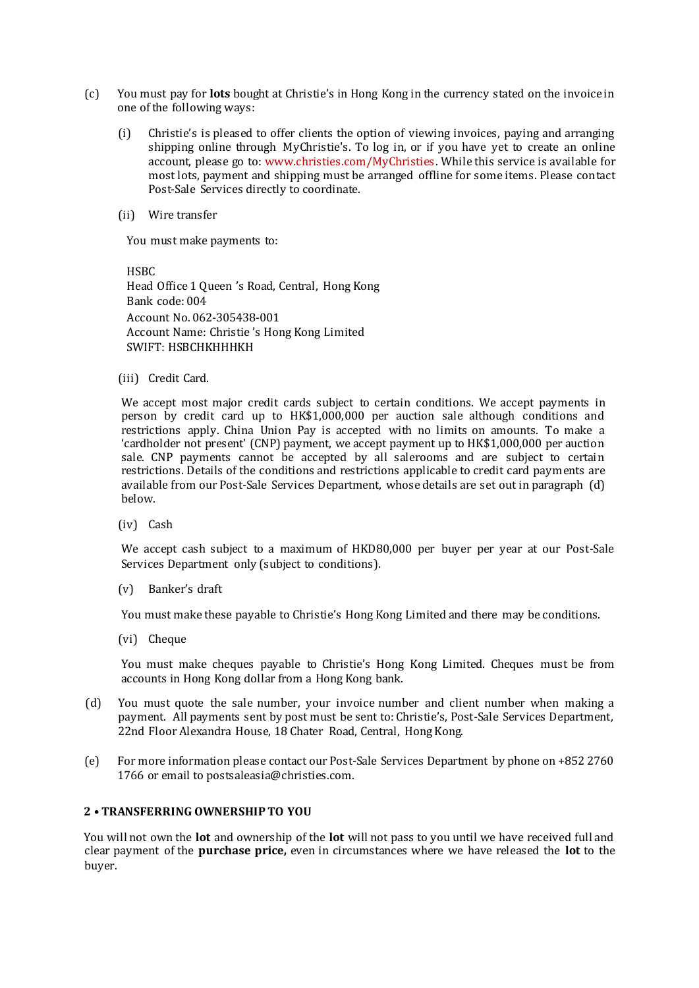- (c) You must pay for **lots** bought at Christie's in Hong Kong in the currency stated on the invoice in one of the following ways:
	- (i) Christie's is pleased to offer clients the option of viewing invoices, paying and arranging shipping online through MyChristie's. To log in, or if you have yet to create an online account, please go to: www.christies.com/MyChristies. While this service is available for most lots, payment and shipping must be arranged offline for some items. Please contact Post-Sale Services directly to coordinate.
	- (ii) Wire transfer

You must make payments to:

HSBC Head Office 1 Queen 's Road, Central, Hong Kong Bank code: 004 Account No. 062-305438-001 Account Name: Christie 's Hong Kong Limited SWIFT: HSBCHKHHHKH

(iii) Credit Card.

We accept most major credit cards subject to certain conditions. We accept payments in person by credit card up to HK\$1,000,000 per auction sale although conditions and restrictions apply. China Union Pay is accepted with no limits on amounts. To make a 'cardholder not present' (CNP) payment, we accept payment up to HK\$1,000,000 per auction sale. CNP payments cannot be accepted by all salerooms and are subject to certain restrictions. Details of the conditions and restrictions applicable to credit card payments are available from our Post-Sale Services Department, whose details are set out in paragraph (d) below.

(iv) Cash

We accept cash subject to a maximum of HKD80,000 per buyer per year at our Post-Sale Services Department only (subject to conditions).

(v) Banker's draft

You must make these payable to Christie's Hong Kong Limited and there may be conditions.

(vi) Cheque

You must make cheques payable to Christie's Hong Kong Limited. Cheques must be from accounts in Hong Kong dollar from a Hong Kong bank.

- (d) You must quote the sale number, your invoice number and client number when making a payment. All payments sent by post must be sent to: Christie's, Post-Sale Services Department, 22nd Floor Alexandra House, 18 Chater Road, Central, Hong Kong.
- (e) For more information please contact our Post-Sale Services Department by phone on +852 2760 1766 or email to postsaleasia@christies.com.

### **2 • TRANSFERRING OWNERSHIP TO YOU**

You will not own the **lot** and ownership of the **lot** will not pass to you until we have received full and clear payment of the **purchase price,** even in circumstances where we have released the **lot** to the buyer.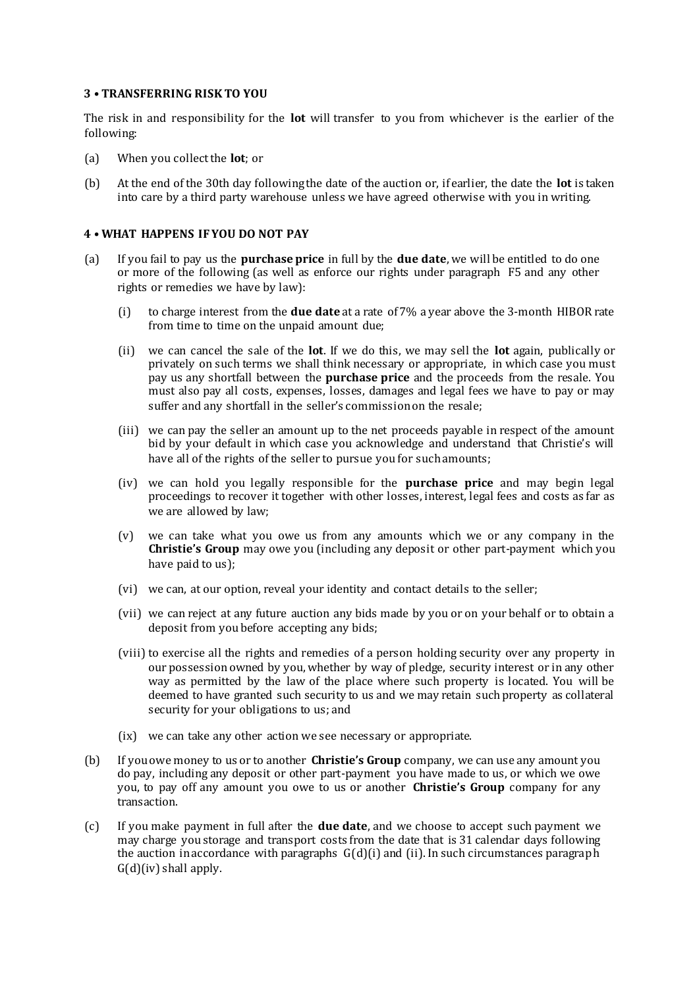### **3 • TRANSFERRING RISK TO YOU**

The risk in and responsibility for the **lot** will transfer to you from whichever is the earlier of the following:

- (a) When you collect the **lot**; or
- (b) At the end of the 30th day following the date of the auction or, if earlier, the date the **lot** is taken into care by a third party warehouse unless we have agreed otherwise with you in writing.

### **4 • WHAT HAPPENS IF YOU DO NOT PAY**

- (a) If you fail to pay us the **purchase price** in full by the **due date**, we will be entitled to do one or more of the following (as well as enforce our rights under paragraph F5 and any other rights or remedies we have by law):
	- (i) to charge interest from the **due date** at a rate of 7% a year above the 3-month HIBOR rate from time to time on the unpaid amount due;
	- (ii) we can cancel the sale of the **lot**. If we do this, we may sell the **lot** again, publically or privately on such terms we shall think necessary or appropriate, in which case you must pay us any shortfall between the **purchase price** and the proceeds from the resale. You must also pay all costs, expenses, losses, damages and legal fees we have to pay or may suffer and any shortfall in the seller's commission on the resale;
	- (iii) we can pay the seller an amount up to the net proceeds payable in respect of the amount bid by your default in which case you acknowledge and understand that Christie's will have all of the rights of the seller to pursue you for such amounts;
	- (iv) we can hold you legally responsible for the **purchase price** and may begin legal proceedings to recover it together with other losses, interest, legal fees and costs as far as we are allowed by law;
	- (v) we can take what you owe us from any amounts which we or any company in the **Christie's Group** may owe you (including any deposit or other part-payment which you have paid to us):
	- (vi) we can, at our option, reveal your identity and contact details to the seller;
	- (vii) we can reject at any future auction any bids made by you or on your behalf or to obtain a deposit from you before accepting any bids;
	- (viii) to exercise all the rights and remedies of a person holding security over any property in our possession owned by you, whether by way of pledge, security interest or in any other way as permitted by the law of the place where such property is located. You will be deemed to have granted such security to us and we may retain such property as collateral security for your obligations to us; and
	- (ix) we can take any other action we see necessary or appropriate.
- (b) If you owe money to us or to another **Christie's Group** company, we can use any amount you do pay, including any deposit or other part-payment you have made to us, or which we owe you, to pay off any amount you owe to us or another **Christie's Group** company for any transaction.
- (c) If you make payment in full after the **due date**, and we choose to accept such payment we may charge you storage and transport costs from the date that is 31 calendar days following the auction in accordance with paragraphs G(d)(i) and (ii). In such circumstances paragraph  $G(d)(iv)$  shall apply.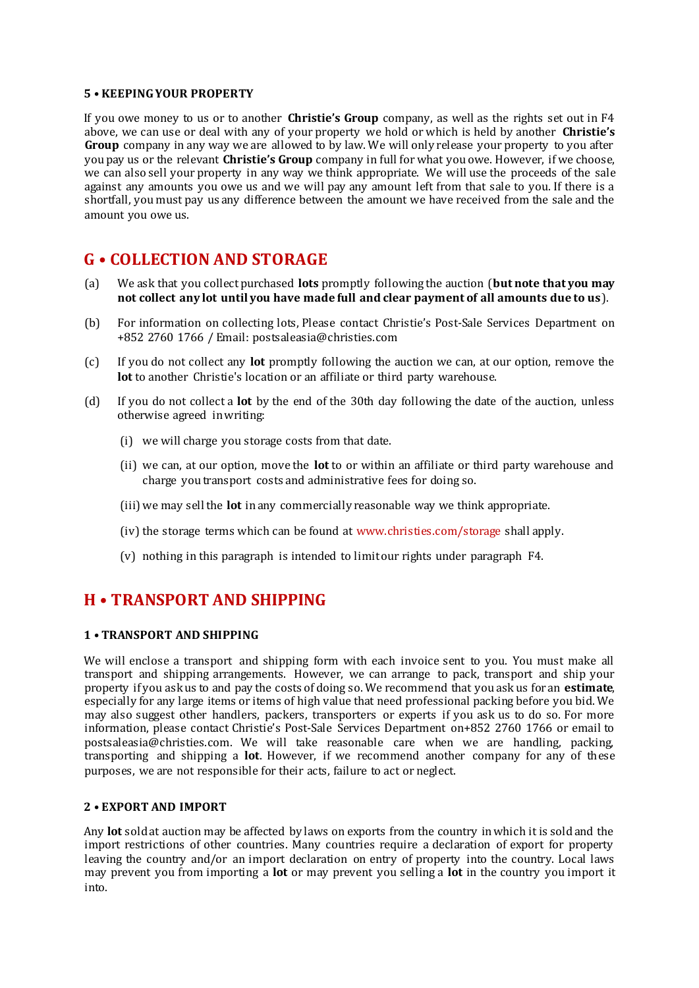### **5 • KEEPING YOUR PROPERTY**

If you owe money to us or to another **Christie's Group** company, as well as the rights set out in F4 above, we can use or deal with any of your property we hold or which is held by another **Christie's Group** company in any way we are allowed to by law. We will only release your property to you after you pay us or the relevant **Christie's Group** company in full for what you owe. However, if we choose, we can also sell your property in any way we think appropriate. We will use the proceeds of the sale against any amounts you owe us and we will pay any amount left from that sale to you. If there is a shortfall, you must pay us any difference between the amount we have received from the sale and the amount you owe us.

# **G • COLLECTION AND STORAGE**

- (a) We ask that you collect purchased **lots** promptly following the auction (**but note that you may not collect any lot until you have made full and clear payment of all amounts due to us** ).
- (b) For information on collecting lots, Please contact Christie's Post-Sale Services Department on +852 2760 1766 / Email: postsaleasia@christies.com
- (c) If you do not collect any **lot** promptly following the auction we can, at our option, remove the **lot** to another Christie's location or an affiliate or third party warehouse.
- (d) If you do not collect a **lot** by the end of the 30th day following the date of the auction, unless otherwise agreed in writing:
	- (i) we will charge you storage costs from that date.
	- (ii) we can, at our option, move the **lot** to or within an affiliate or third party warehouse and charge you transport costs and administrative fees for doing so.
	- (iii) we may sell the **lot** in any commercially reasonable way we think appropriate.
	- (iv) the storage terms which can be found at www.christies.com/storage shall apply.
	- (v) nothing in this paragraph is intended to limit our rights under paragraph F4.

# **H • TRANSPORT AND SHIPPING**

### **1 • TRANSPORT AND SHIPPING**

We will enclose a transport and shipping form with each invoice sent to you. You must make all transport and shipping arrangements. However, we can arrange to pack, transport and ship your property if you ask us to and pay the costs of doing so. We recommend that you ask us for an **estimate**, especially for any large items or items of high value that need professional packing before you bid. We may also suggest other handlers, packers, transporters or experts if you ask us to do so. For more information, please contact Christie's Post-Sale Services Department on+852 2760 1766 or email to postsaleasia@christies.com. We will take reasonable care when we are handling, packing, transporting and shipping a **lot**. However, if we recommend another company for any of these purposes, we are not responsible for their acts, failure to act or neglect.

### **2 • EXPORT AND IMPORT**

Any **lot** sold at auction may be affected by laws on exports from the country in which it is sold and the import restrictions of other countries. Many countries require a declaration of export for property leaving the country and/or an import declaration on entry of property into the country. Local laws may prevent you from importing a **lot** or may prevent you selling a **lot** in the country you import it into.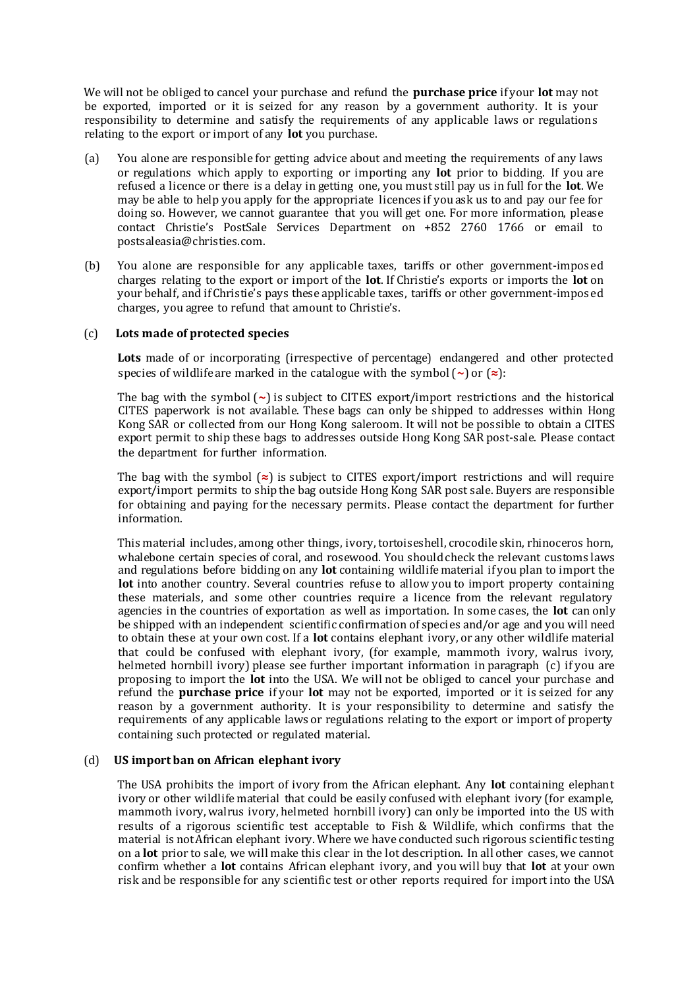We will not be obliged to cancel your purchase and refund the **purchase price** if your **lot** may not be exported, imported or it is seized for any reason by a government authority. It is your responsibility to determine and satisfy the requirements of any applicable laws or regulations relating to the export or import of any **lot** you purchase.

- (a) You alone are responsible for getting advice about and meeting the requirements of any laws or regulations which apply to exporting or importing any **lot** prior to bidding. If you are refused a licence or there is a delay in getting one, you must still pay us in full for the **lot**. We may be able to help you apply for the appropriate licences if you ask us to and pay our fee for doing so. However, we cannot guarantee that you will get one. For more information, please contact Christie's PostSale Services Department on +852 2760 1766 or email to postsaleasia@christies.com.
- (b) You alone are responsible for any applicable taxes, tariffs or other government-imposed charges relating to the export or import of the **lot**. If Christie's exports or imports the **lot** on your behalf, and if Christie's pays these applicable taxes, tariffs or other government-imposed charges, you agree to refund that amount to Christie's.

### (c) **Lots made of protected species**

**Lots** made of or incorporating (irrespective of percentage) endangered and other protected species of wildlife are marked in the catalogue with the symbol (**~**) or (**≈**):

The bag with the symbol (**~**) is subject to CITES export/import restrictions and the historical CITES paperwork is not available. These bags can only be shipped to addresses within Hong Kong SAR or collected from our Hong Kong saleroom. It will not be possible to obtain a CITES export permit to ship these bags to addresses outside Hong Kong SAR post-sale. Please contact the department for further information.

The bag with the symbol (**≈**) is subject to CITES export/import restrictions and will require export/import permits to ship the bag outside Hong Kong SAR post sale. Buyers are responsible for obtaining and paying for the necessary permits. Please contact the department for further information.

This material includes, among other things, ivory, tortoiseshell, crocodile skin, rhinoceros horn, whalebone certain species of coral, and rosewood. You should check the relevant customs laws and regulations before bidding on any **lot** containing wildlife material if you plan to import the **lot** into another country. Several countries refuse to allow you to import property containing these materials, and some other countries require a licence from the relevant regulatory agencies in the countries of exportation as well as importation. In some cases, the **lot** can only be shipped with an independent scientific confirmation of species and/or age and you will need to obtain these at your own cost. If a **lot** contains elephant ivory, or any other wildlife material that could be confused with elephant ivory, (for example, mammoth ivory, walrus ivory, helmeted hornbill ivory) please see further important information in paragraph (c) if you are proposing to import the **lot** into the USA. We will not be obliged to cancel your purchase and refund the **purchase price** if your **lot** may not be exported, imported or it is seized for any reason by a government authority. It is your responsibility to determine and satisfy the requirements of any applicable laws or regulations relating to the export or import of property containing such protected or regulated material.

### (d) **US import ban on African elephant ivory**

The USA prohibits the import of ivory from the African elephant. Any **lot** containing elephant ivory or other wildlife material that could be easily confused with elephant ivory (for example, mammoth ivory, walrus ivory, helmeted hornbill ivory) can only be imported into the US with results of a rigorous scientific test acceptable to Fish & Wildlife, which confirms that the material is not African elephant ivory. Where we have conducted such rigorous scientific testing on a **lot** prior to sale, we will make this clear in the lot description. In all other cases, we cannot confirm whether a **lot** contains African elephant ivory, and you will buy that **lot** at your own risk and be responsible for any scientific test or other reports required for import into the USA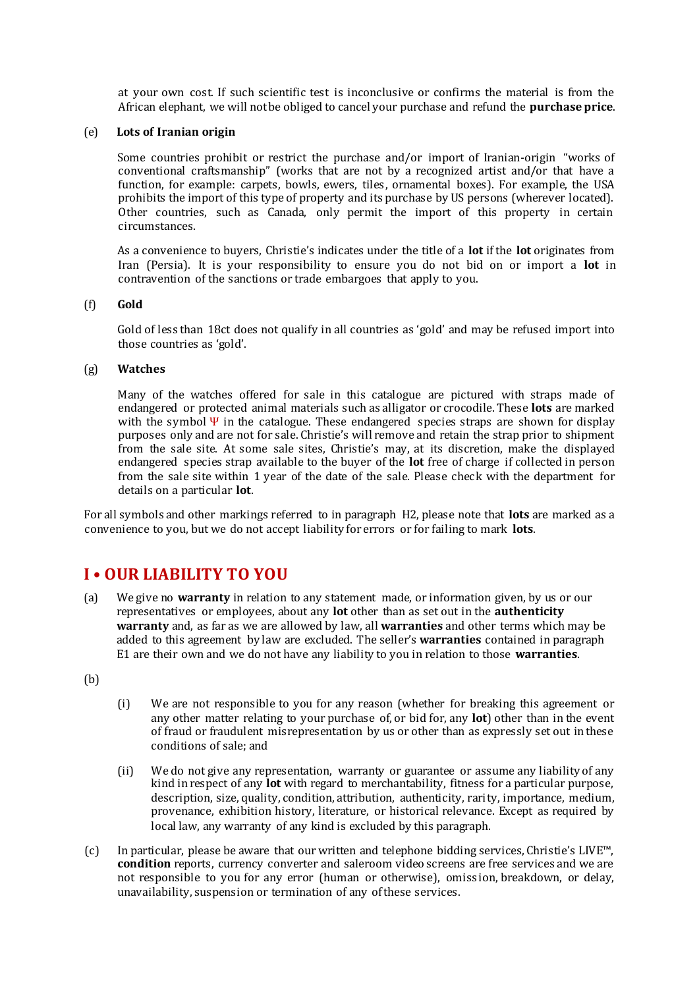at your own cost. If such scientific test is inconclusive or confirms the material is from the African elephant, we will not be obliged to cancel your purchase and refund the **purchase price**.

### (e) **Lots of Iranian origin**

Some countries prohibit or restrict the purchase and/or import of Iranian-origin "works of conventional craftsmanship" (works that are not by a recognized artist and/or that have a function, for example: carpets, bowls, ewers, tiles, ornamental boxes). For example, the USA prohibits the import of this type of property and its purchase by US persons (wherever located). Other countries, such as Canada, only permit the import of this property in certain circumstances.

As a convenience to buyers, Christie's indicates under the title of a **lot** if the **lot** originates from Iran (Persia). It is your responsibility to ensure you do not bid on or import a **lot** in contravention of the sanctions or trade embargoes that apply to you.

### (f) **Gold**

Gold of less than 18ct does not qualify in all countries as 'gold' and may be refused import into those countries as 'gold'.

### (g) **Watches**

Many of the watches offered for sale in this catalogue are pictured with straps made of endangered or protected animal materials such as alligator or crocodile. These **lots** are marked with the symbol  $\Psi$  in the catalogue. These endangered species straps are shown for display purposes only and are not for sale. Christie's will remove and retain the strap prior to shipment from the sale site. At some sale sites, Christie's may, at its discretion, make the displayed endangered species strap available to the buyer of the **lot** free of charge if collected in person from the sale site within 1 year of the date of the sale. Please check with the department for details on a particular **lot**.

For all symbols and other markings referred to in paragraph H2, please note that **lots** are marked as a convenience to you, but we do not accept liability for errors or for failing to mark **lots**.

### **I • OUR LIABILITY TO YOU**

(a) We give no **warranty** in relation to any statement made, or information given, by us or our representatives or employees, about any **lot** other than as set out in the **authenticity warranty** and, as far as we are allowed by law, all **warranties** and other terms which may be added to this agreement by law are excluded. The seller's **warranties** contained in paragraph E1 are their own and we do not have any liability to you in relation to those **warranties**.

(b)

- (i) We are not responsible to you for any reason (whether for breaking this agreement or any other matter relating to your purchase of, or bid for, any **lot**) other than in the event of fraud or fraudulent misrepresentation by us or other than as expressly set out in these conditions of sale; and
- (ii) We do not give any representation, warranty or guarantee or assume any liability of any kind in respect of any **lot** with regard to merchantability, fitness for a particular purpose, description, size, quality, condition, attribution, authenticity, rarity, importance, medium, provenance, exhibition history, literature, or historical relevance. Except as required by local law, any warranty of any kind is excluded by this paragraph.
- $(c)$  In particular, please be aware that our written and telephone bidding services, Christie's LIVE<sup>™</sup>, **condition** reports, currency converter and saleroom video screens are free services and we are not responsible to you for any error (human or otherwise), omission, breakdown, or delay, unavailability, suspension or termination of any of these services.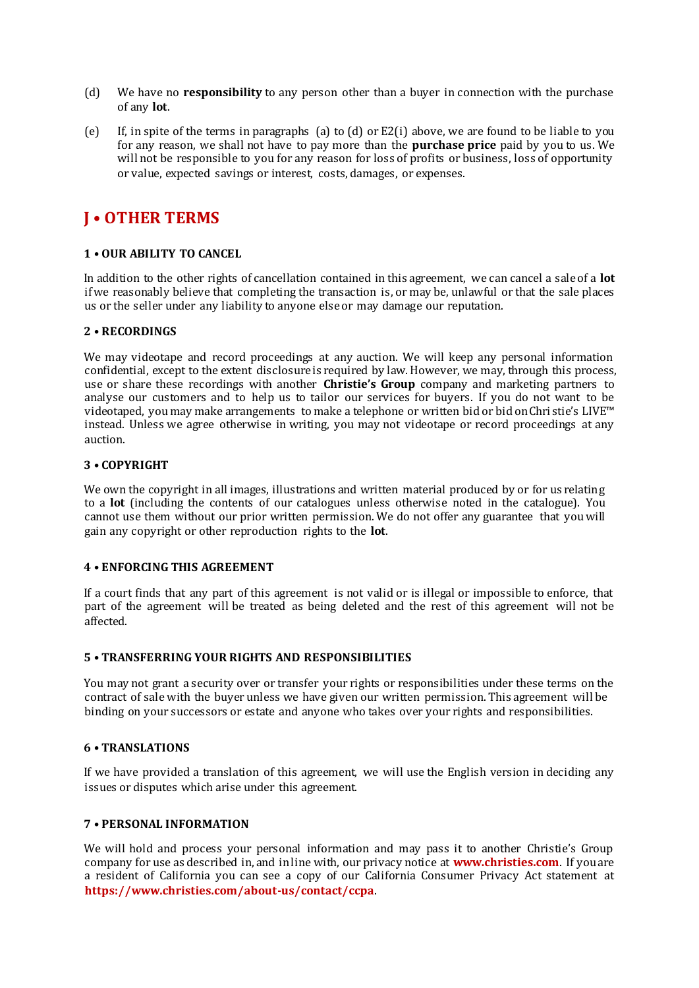- (d) We have no **responsibility** to any person other than a buyer in connection with the purchase of any **lot**.
- (e) If, in spite of the terms in paragraphs (a) to (d) or E2(i) above, we are found to be liable to you for any reason, we shall not have to pay more than the **purchase price** paid by you to us. We will not be responsible to you for any reason for loss of profits or business, loss of opportunity or value, expected savings or interest, costs, damages, or expenses.

# **J • OTHER TERMS**

### **1 • OUR ABILITY TO CANCEL**

In addition to the other rights of cancellation contained in this agreement, we can cancel a sale of a **lot** if we reasonably believe that completing the transaction is, or may be, unlawful or that the sale places us or the seller under any liability to anyone else or may damage our reputation.

### **2 • RECORDINGS**

We may videotape and record proceedings at any auction. We will keep any personal information confidential, except to the extent disclosure is required by law. However, we may, through this process, use or share these recordings with another **Christie's Group** company and marketing partners to analyse our customers and to help us to tailor our services for buyers. If you do not want to be videotaped, you may make arrangements to make a telephone or written bid or bid on Chri stie's LIVE™ instead. Unless we agree otherwise in writing, you may not videotape or record proceedings at any auction.

### **3 • COPYRIGHT**

We own the copyright in all images, illustrations and written material produced by or for us relating to a **lot** (including the contents of our catalogues unless otherwise noted in the catalogue). You cannot use them without our prior written permission. We do not offer any guarantee that you will gain any copyright or other reproduction rights to the **lot**.

### **4 • ENFORCING THIS AGREEMENT**

If a court finds that any part of this agreement is not valid or is illegal or impossible to enforce, that part of the agreement will be treated as being deleted and the rest of this agreement will not be affected.

### **5 • TRANSFERRING YOUR RIGHTS AND RESPONSIBILITIES**

You may not grant a security over or transfer your rights or responsibilities under these terms on the contract of sale with the buyer unless we have given our written permission. This agreement will be binding on your successors or estate and anyone who takes over your rights and responsibilities.

### **6 • TRANSLATIONS**

If we have provided a translation of this agreement, we will use the English version in deciding any issues or disputes which arise under this agreement.

### **7 • PERSONAL INFORMATION**

We will hold and process your personal information and may pass it to another Christie's Group company for use as described in, and in line with, our privacy notice a[t](http://www.christies.com/about-us/contact/privacy) **www.christies.com**. If you are a resident of California you can see a copy of our California Consumer Privacy Act statement a[t](https://www.christies.com/about-us/contact/ccpa) **[https://www.christies.com/about-u](https://www.christies.com/about-us/contact/ccpa)s/contact/ccpa**.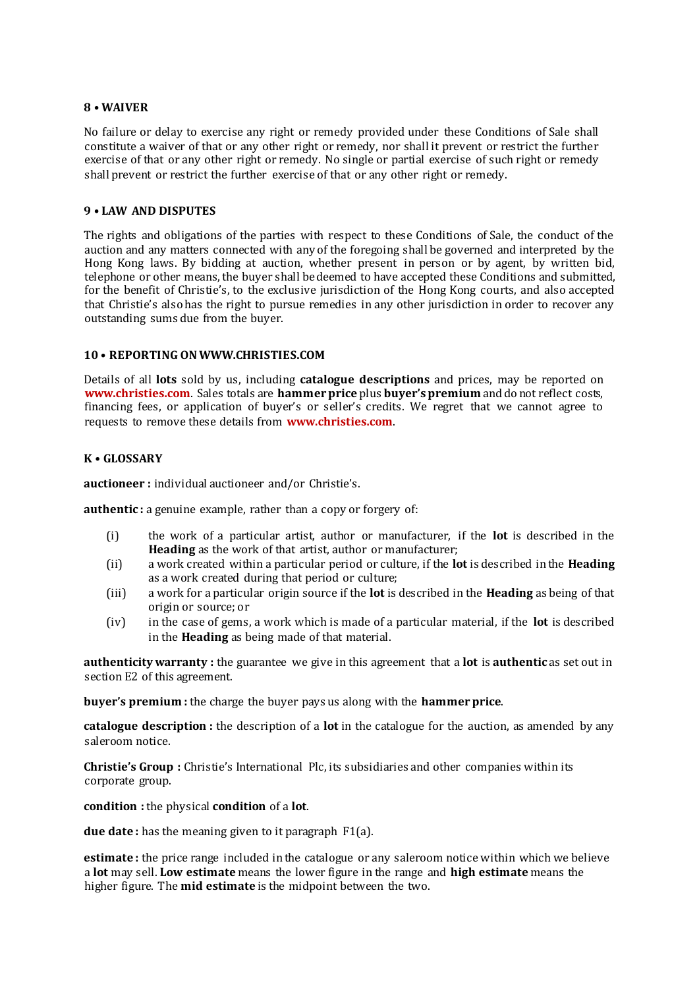### **8 • WAIVER**

No failure or delay to exercise any right or remedy provided under these Conditions of Sale shall constitute a waiver of that or any other right or remedy, nor shall it prevent or restrict the further exercise of that or any other right or remedy. No single or partial exercise of such right or remedy shall prevent or restrict the further exercise of that or any other right or remedy.

### **9 • LAW AND DISPUTES**

The rights and obligations of the parties with respect to these Conditions of Sale, the conduct of the auction and any matters connected with any of the foregoing shall be governed and interpreted by the Hong Kong laws. By bidding at auction, whether present in person or by agent, by written bid, telephone or other means, the buyer shall be deemed to have accepted these Conditions and submitted, for the benefit of Christie's, to the exclusive jurisdiction of the Hong Kong courts, and also accepted that Christie's also has the right to pursue remedies in any other jurisdiction in order to recover any outstanding sums due from the buyer.

### **10 • REPORTING ON WWW.CHRISTIES.COM**

Details of all **lots** sold by us, including **catalogue descriptions** and prices, may be reported on **www.christies.com**. Sales totals are **hammer price** plus **buyer's premium** and do not reflect costs, financing fees, or application of buyer's or seller's credits. We regret that we cannot agree to requests to remove these details from **www.christies.com**.

### **K • GLOSSARY**

**auctioneer :** individual auctioneer and/or Christie's.

**authentic :** a genuine example, rather than a copy or forgery of:

- (i) the work of a particular artist, author or manufacturer, if the **lot** is described in the **Heading** as the work of that artist, author or manufacturer;
- (ii) a work created within a particular period or culture, if the **lot** is described in the **Heading**  as a work created during that period or culture;
- (iii) a work for a particular origin source if the **lot** is described in the **Heading** as being of that origin or source; or
- (iv) in the case of gems, a work which is made of a particular material, if the **lot** is described in the **Heading** as being made of that material.

**authenticity warranty :** the guarantee we give in this agreement that a **lot** is **authentic** as set out in section E2 of this agreement.

**buyer's premium :** the charge the buyer pays us along with the **hammer price**.

**catalogue description :** the description of a **lot** in the catalogue for the auction, as amended by any saleroom notice.

**Christie's Group :** Christie's International Plc, its subsidiaries and other companies within its corporate group.

**condition :** the physical **condition** of a **lot**.

**due date :** has the meaning given to it paragraph F1(a).

**estimate :** the price range included in the catalogue or any saleroom notice within which we believe a **lot** may sell. **Low estimate** means the lower figure in the range and **high estimate** means the higher figure. The **mid estimate** is the midpoint between the two.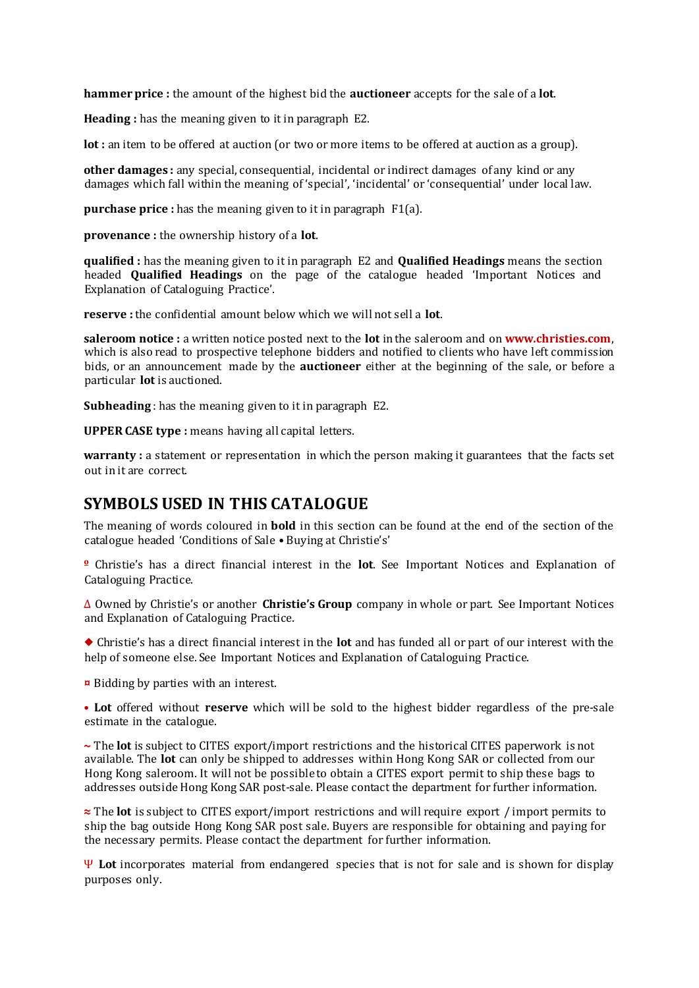**hammer price :** the amount of the highest bid the **auctioneer** accepts for the sale of a **lot**.

**Heading :** has the meaning given to it in paragraph E2.

**lot :** an item to be offered at auction (or two or more items to be offered at auction as a group).

**other damages :** any special, consequential, incidental or indirect damages of any kind or any damages which fall within the meaning of 'special', 'incidental' or 'consequential' under local law.

**purchase price** : has the meaning given to it in paragraph F1(a).

**provenance :** the ownership history of a **lot**.

**qualified :** has the meaning given to it in paragraph E2 and **Qualified Headings** means the section headed **Qualified Headings** on the page of the catalogue headed 'Important Notices and Explanation of Cataloguing Practice'.

**reserve :** the confidential amount below which we will not sell a **lot**.

**saleroom notice :** a written notice posted next to the **lot** in the saleroom and on **www.christies.com**, which is also read to prospective telephone bidders and notified to clients who have left commission bids, or an announcement made by the **auctioneer** either at the beginning of the sale, or before a particular **lot** is auctioned.

**Subheading** : has the meaning given to it in paragraph E2.

**UPPER CASE type :** means having all capital letters.

**warranty :** a statement or representation in which the person making it guarantees that the facts set out in it are correct.

### **SYMBOLS USED IN THIS CATALOGUE**

The meaning of words coloured in **bold** in this section can be found at the end of the section of the catalogue headed 'Conditions of Sale • Buying at Christie's'

**º** Christie's has a direct financial interest in the **lot**. See Important Notices and Explanation of Cataloguing Practice.

∆ Owned by Christie's or another **Christie's Group** company in whole or part. See Important Notices and Explanation of Cataloguing Practice.

◆ Christie's has a direct financial interest in the **lot** and has funded all or part of our interest with the help of someone else. See Important Notices and Explanation of Cataloguing Practice.

**¤** Bidding by parties with an interest.

**• Lot** offered without **reserve** which will be sold to the highest bidder regardless of the pre-sale estimate in the catalogue.

**~** The **lot** is subject to CITES export/import restrictions and the historical CITES paperwork is not available. The **lot** can only be shipped to addresses within Hong Kong SAR or collected from our Hong Kong saleroom. It will not be possible to obtain a CITES export permit to ship these bags to addresses outside Hong Kong SAR post-sale. Please contact the department for further information.

**≈** The **lot** is subject to CITES export/import restrictions and will require export / import permits to ship the bag outside Hong Kong SAR post sale. Buyers are responsible for obtaining and paying for the necessary permits. Please contact the department for further information.

Ψ **Lot** incorporates material from endangered species that is not for sale and is shown for display purposes only.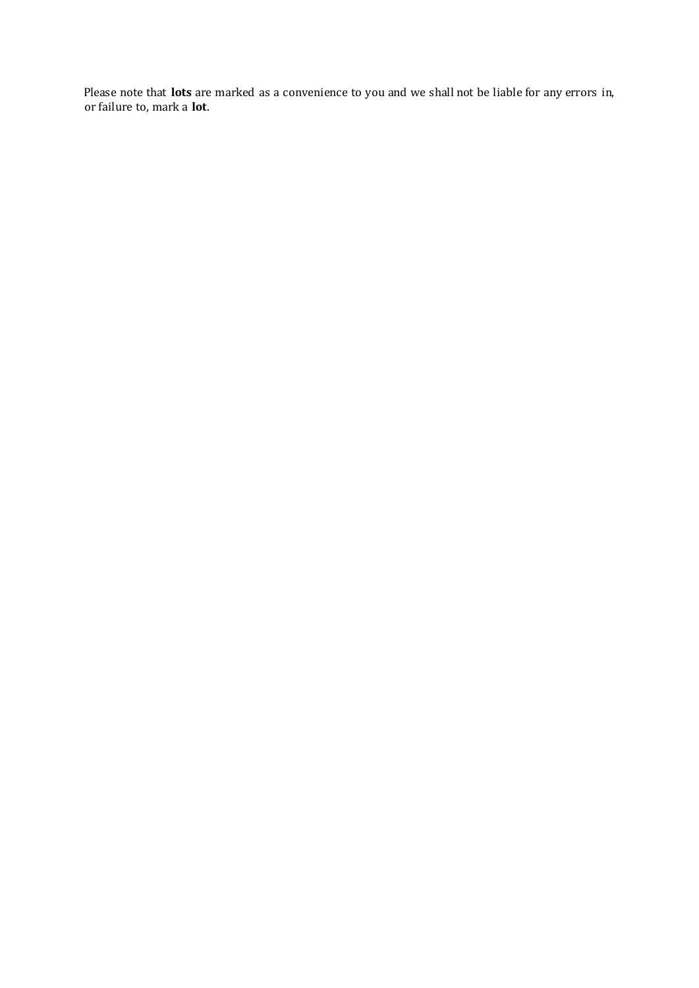Please note that **lots** are marked as a convenience to you and we shall not be liable for any errors in, or failure to, mark a **lot**.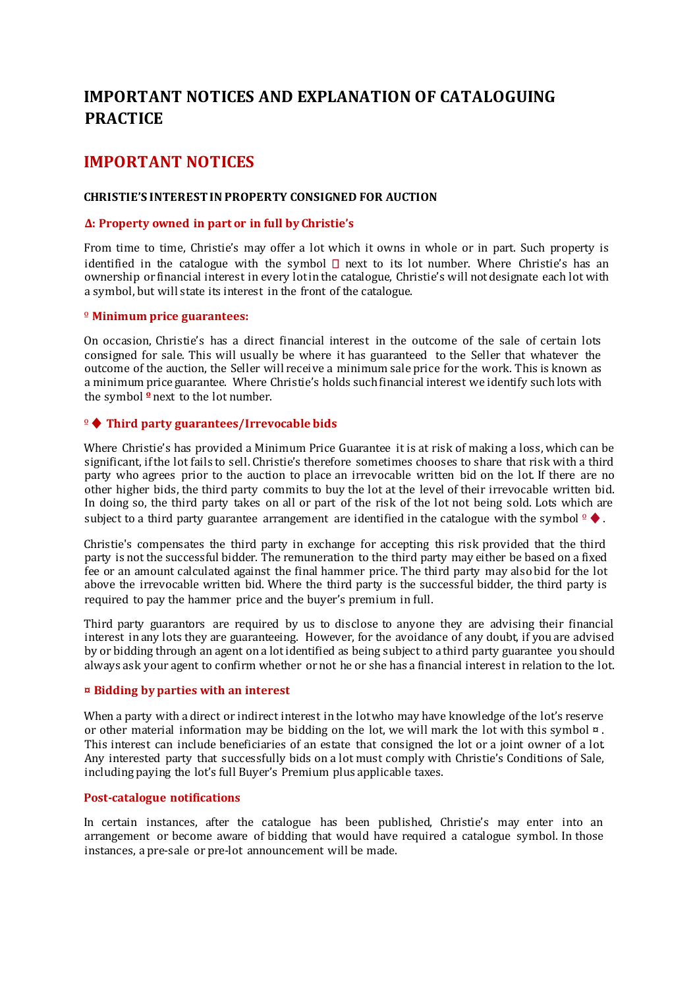# **IMPORTANT NOTICES AND EXPLANATION OF CATALOGUING PRACTICE**

# **IMPORTANT NOTICES**

### **CHRISTIE'S INTEREST IN PROPERTY CONSIGNED FOR AUCTION**

### **Δ: Property owned in part or in full by Christie's**

From time to time, Christie's may offer a lot which it owns in whole or in part. Such property is identified in the catalogue with the symbol  $\Box$  next to its lot number. Where Christie's has an ownership or financial interest in every lot in the catalogue, Christie's will not designate each lot with a symbol, but will state its interest in the front of the catalogue.

### º **Minimum price guarantees:**

On occasion, Christie's has a direct financial interest in the outcome of the sale of certain lots consigned for sale. This will usually be where it has guaranteed to the Seller that whatever the outcome of the auction, the Seller will receive a minimum sale price for the work. This is known as a minimum price guarantee. Where Christie's holds such financial interest we identify such lots with the symbol **º** next to the lot number.

### º♦**Third party guarantees/Irrevocable bids**

Where Christie's has provided a Minimum Price Guarantee it is at risk of making a loss, which can be significant, if the lot fails to sell. Christie's therefore sometimes chooses to share that risk with a third party who agrees prior to the auction to place an irrevocable written bid on the lot. If there are no other higher bids, the third party commits to buy the lot at the level of their irrevocable written bid. In doing so, the third party takes on all or part of the risk of the lot not being sold. Lots which are subject to a third party guarantee arrangement are identified in the catalogue with the symbol  $\frac{1}{2}$ .

Christie's compensates the third party in exchange for accepting this risk provided that the third party is not the successful bidder. The remuneration to the third party may either be based on a fixed fee or an amount calculated against the final hammer price. The third party may also bid for the lot above the irrevocable written bid. Where the third party is the successful bidder, the third party is required to pay the hammer price and the buyer's premium in full.

Third party guarantors are required by us to disclose to anyone they are advising their financial interest in any lots they are guaranteeing. However, for the avoidance of any doubt, if you are advised by or bidding through an agent on a lot identified as being subject to a third party guarantee you should always ask your agent to confirm whether or not he or she has a financial interest in relation to the lot.

### **¤ Bidding by parties with an interest**

When a party with a direct or indirect interest in the lot who may have knowledge of the lot's reserve or other material information may be bidding on the lot, we will mark the lot with this symbol  $\alpha$ . This interest can include beneficiaries of an estate that consigned the lot or a joint owner of a lot. Any interested party that successfully bids on a lot must comply with Christie's Conditions of Sale, including paying the lot's full Buyer's Premium plus applicable taxes.

### **Post-catalogue notifications**

In certain instances, after the catalogue has been published, Christie's may enter into an arrangement or become aware of bidding that would have required a catalogue symbol. In those instances, a pre-sale or pre-lot announcement will be made.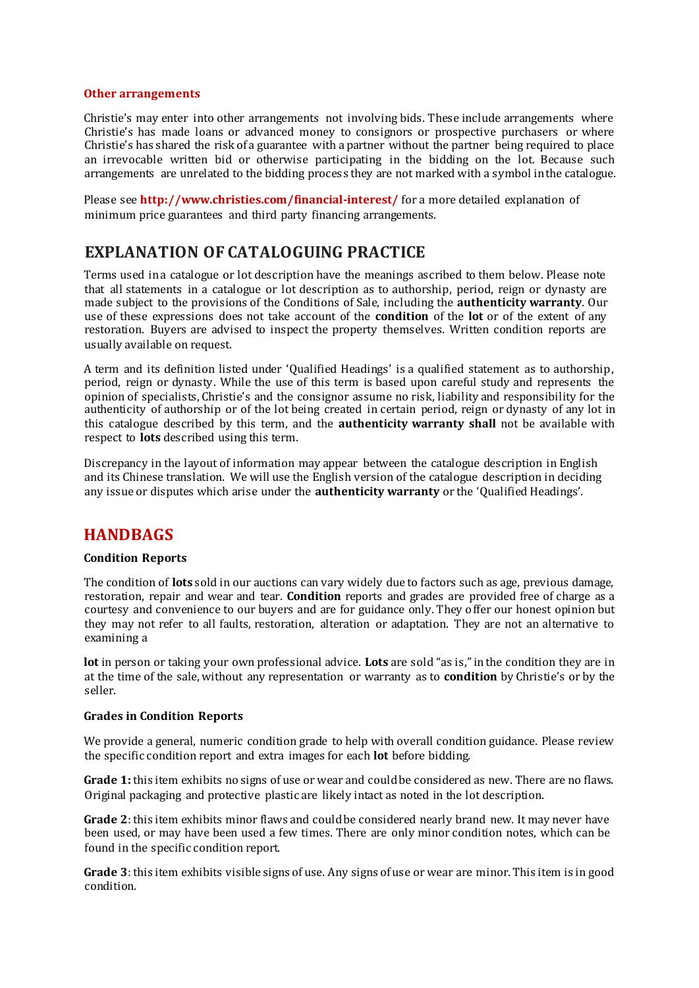#### **Other arrangements**

Christie's may enter into other arrangements not involving bids. These include arrangements where Christie's has made loans or advanced money to consignors or prospective purchasers or where Christie's has shared the risk of a guarantee with a partner without the partner being required to place an irrevocable written bid or otherwise participating in the bidding on the lot. Because such arrangements are unrelated to the bidding process they are not marked with a symbol in the catalogue.

Please see **http://www.christies.com/financial-interest/** for a more detailed explanation of minimum price guarantees and third party financing arrangements.

### **EXPLANATION OF CATALOGUING PRACTICE**

Terms used in a catalogue or lot description have the meanings ascribed to them below. Please note that all statements in a catalogue or lot description as to authorship, period, reign or dynasty are made subject to the provisions of the Conditions of Sale, including the **authenticity warranty**. Our use of these expressions does not take account of the **condition** of the **lot** or of the extent of any restoration. Buyers are advised to inspect the property themselves. Written condition reports are usually available on request.

A term and its definition listed under 'Qualified Headings' is a qualified statement as to authorship, period, reign or dynasty. While the use of this term is based upon careful study and represents the opinion of specialists, Christie's and the consignor assume no risk, liability and responsibility for the authenticity of authorship or of the lot being created in certain period, reign or dynasty of any lot in this catalogue described by this term, and the **authenticity warranty shall** not be available with respect to **lots** described using this term.

Discrepancy in the layout of information may appear between the catalogue description in English and its Chinese translation. We will use the English version of the catalogue description in deciding any issue or disputes which arise under the **authenticity warranty** or the 'Qualified Headings'.

### **HANDBAGS**

### **Condition Reports**

The condition of **lots** sold in our auctions can vary widely due to factors such as age, previous damage, restoration, repair and wear and tear. **Condition** reports and grades are provided free of charge as a courtesy and convenience to our buyers and are for guidance only. They offer our honest opinion but they may not refer to all faults, restoration, alteration or adaptation. They are not an alternative to examining a

**lot** in person or taking your own professional advice. **Lots** are sold "as is," in the condition they are in at the time of the sale, without any representation or warranty as to **condition** by Christie's or by the seller.

### **Grades in Condition Reports**

We provide a general, numeric condition grade to help with overall condition guidance. Please review the specific condition report and extra images for each **lot** before bidding.

**Grade 1:** this item exhibits no signs of use or wear and could be considered as new. There are no flaws. Original packaging and protective plastic are likely intact as noted in the lot description.

**Grade 2**: this item exhibits minor flaws and could be considered nearly brand new. It may never have been used, or may have been used a few times. There are only minor condition notes, which can be found in the specific condition report.

**Grade 3**: this item exhibits visible signs of use. Any signs of use or wear are minor. This item is in good condition.